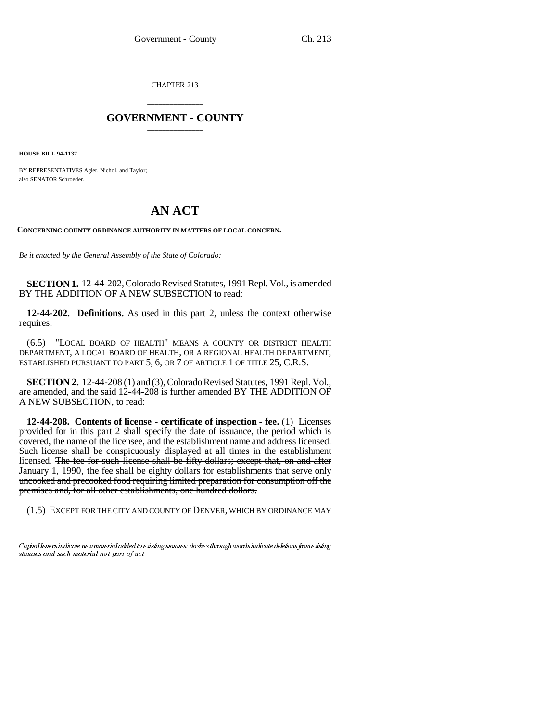CHAPTER 213

## \_\_\_\_\_\_\_\_\_\_\_\_\_\_\_ **GOVERNMENT - COUNTY** \_\_\_\_\_\_\_\_\_\_\_\_\_\_\_

**HOUSE BILL 94-1137**

BY REPRESENTATIVES Agler, Nichol, and Taylor; also SENATOR Schroeder.

## **AN ACT**

**CONCERNING COUNTY ORDINANCE AUTHORITY IN MATTERS OF LOCAL CONCERN.**

*Be it enacted by the General Assembly of the State of Colorado:*

**SECTION 1.** 12-44-202, Colorado Revised Statutes, 1991 Repl. Vol., is amended BY THE ADDITION OF A NEW SUBSECTION to read:

**12-44-202. Definitions.** As used in this part 2, unless the context otherwise requires:

(6.5) "LOCAL BOARD OF HEALTH" MEANS A COUNTY OR DISTRICT HEALTH DEPARTMENT, A LOCAL BOARD OF HEALTH, OR A REGIONAL HEALTH DEPARTMENT, ESTABLISHED PURSUANT TO PART 5, 6, OR 7 OF ARTICLE 1 OF TITLE 25, C.R.S.

**SECTION 2.** 12-44-208 (1) and (3), Colorado Revised Statutes, 1991 Repl. Vol., are amended, and the said 12-44-208 is further amended BY THE ADDITION OF A NEW SUBSECTION, to read:

January 1, 1990, the fee shall be eighty dollars for establishments that serve only **12-44-208. Contents of license - certificate of inspection - fee.** (1) Licenses provided for in this part 2 shall specify the date of issuance, the period which is covered, the name of the licensee, and the establishment name and address licensed. Such license shall be conspicuously displayed at all times in the establishment licensed. The fee for such license shall be fifty dollars; except that, on and after uncooked and precooked food requiring limited preparation for consumption off the premises and, for all other establishments, one hundred dollars.

(1.5) EXCEPT FOR THE CITY AND COUNTY OF DENVER, WHICH BY ORDINANCE MAY

Capital letters indicate new material added to existing statutes; dashes through words indicate deletions from existing statutes and such material not part of act.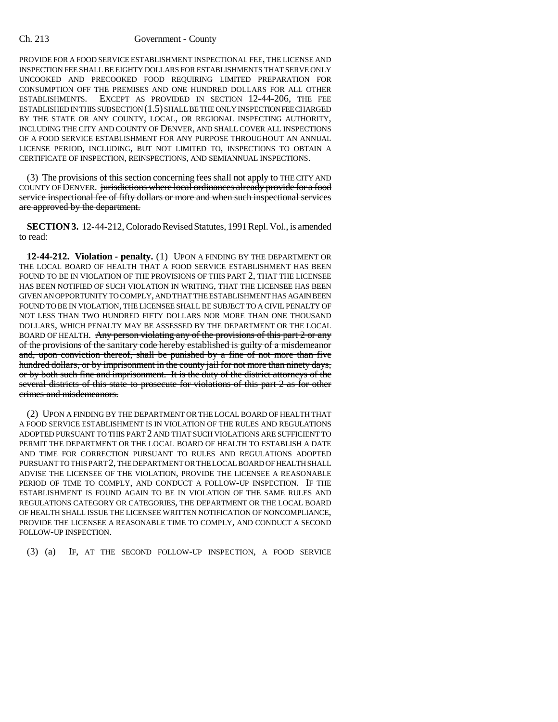## Ch. 213 Government - County

PROVIDE FOR A FOOD SERVICE ESTABLISHMENT INSPECTIONAL FEE, THE LICENSE AND INSPECTION FEE SHALL BE EIGHTY DOLLARS FOR ESTABLISHMENTS THAT SERVE ONLY UNCOOKED AND PRECOOKED FOOD REQUIRING LIMITED PREPARATION FOR CONSUMPTION OFF THE PREMISES AND ONE HUNDRED DOLLARS FOR ALL OTHER ESTABLISHMENTS. EXCEPT AS PROVIDED IN SECTION 12-44-206, THE FEE ESTABLISHED IN THIS SUBSECTION (1.5) SHALL BE THE ONLY INSPECTION FEE CHARGED BY THE STATE OR ANY COUNTY, LOCAL, OR REGIONAL INSPECTING AUTHORITY, INCLUDING THE CITY AND COUNTY OF DENVER, AND SHALL COVER ALL INSPECTIONS OF A FOOD SERVICE ESTABLISHMENT FOR ANY PURPOSE THROUGHOUT AN ANNUAL LICENSE PERIOD, INCLUDING, BUT NOT LIMITED TO, INSPECTIONS TO OBTAIN A CERTIFICATE OF INSPECTION, REINSPECTIONS, AND SEMIANNUAL INSPECTIONS.

(3) The provisions of this section concerning fees shall not apply to THE CITY AND COUNTY OF DENVER. jurisdictions where local ordinances already provide for a food service inspectional fee of fifty dollars or more and when such inspectional services are approved by the department.

**SECTION 3.** 12-44-212, Colorado Revised Statutes, 1991 Repl. Vol., is amended to read:

**12-44-212. Violation - penalty.** (1) UPON A FINDING BY THE DEPARTMENT OR THE LOCAL BOARD OF HEALTH THAT A FOOD SERVICE ESTABLISHMENT HAS BEEN FOUND TO BE IN VIOLATION OF THE PROVISIONS OF THIS PART 2, THAT THE LICENSEE HAS BEEN NOTIFIED OF SUCH VIOLATION IN WRITING, THAT THE LICENSEE HAS BEEN GIVEN AN OPPORTUNITY TO COMPLY, AND THAT THE ESTABLISHMENT HAS AGAIN BEEN FOUND TO BE IN VIOLATION, THE LICENSEE SHALL BE SUBJECT TO A CIVIL PENALTY OF NOT LESS THAN TWO HUNDRED FIFTY DOLLARS NOR MORE THAN ONE THOUSAND DOLLARS, WHICH PENALTY MAY BE ASSESSED BY THE DEPARTMENT OR THE LOCAL BOARD OF HEALTH. Any person violating any of the provisions of this part 2 or any of the provisions of the sanitary code hereby established is guilty of a misdemeanor and, upon conviction thereof, shall be punished by a fine of not more than five hundred dollars, or by imprisonment in the county jail for not more than ninety days, or by both such fine and imprisonment. It is the duty of the district attorneys of the several districts of this state to prosecute for violations of this part 2 as for other crimes and misdemeanors.

(2) UPON A FINDING BY THE DEPARTMENT OR THE LOCAL BOARD OF HEALTH THAT A FOOD SERVICE ESTABLISHMENT IS IN VIOLATION OF THE RULES AND REGULATIONS ADOPTED PURSUANT TO THIS PART 2 AND THAT SUCH VIOLATIONS ARE SUFFICIENT TO PERMIT THE DEPARTMENT OR THE LOCAL BOARD OF HEALTH TO ESTABLISH A DATE AND TIME FOR CORRECTION PURSUANT TO RULES AND REGULATIONS ADOPTED PURSUANT TO THIS PART 2, THE DEPARTMENT OR THE LOCAL BOARD OF HEALTH SHALL ADVISE THE LICENSEE OF THE VIOLATION, PROVIDE THE LICENSEE A REASONABLE PERIOD OF TIME TO COMPLY, AND CONDUCT A FOLLOW-UP INSPECTION. IF THE ESTABLISHMENT IS FOUND AGAIN TO BE IN VIOLATION OF THE SAME RULES AND REGULATIONS CATEGORY OR CATEGORIES, THE DEPARTMENT OR THE LOCAL BOARD OF HEALTH SHALL ISSUE THE LICENSEE WRITTEN NOTIFICATION OF NONCOMPLIANCE, PROVIDE THE LICENSEE A REASONABLE TIME TO COMPLY, AND CONDUCT A SECOND FOLLOW-UP INSPECTION.

(3) (a) IF, AT THE SECOND FOLLOW-UP INSPECTION, A FOOD SERVICE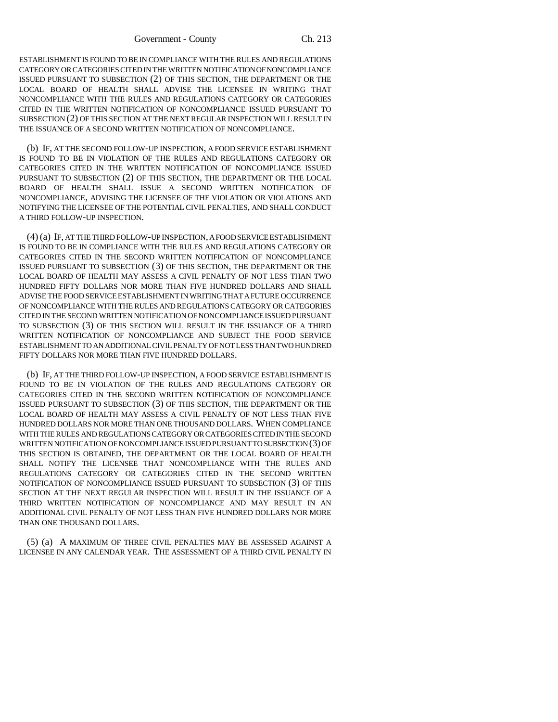ESTABLISHMENT IS FOUND TO BE IN COMPLIANCE WITH THE RULES AND REGULATIONS CATEGORY OR CATEGORIES CITED IN THE WRITTEN NOTIFICATION OF NONCOMPLIANCE ISSUED PURSUANT TO SUBSECTION (2) OF THIS SECTION, THE DEPARTMENT OR THE LOCAL BOARD OF HEALTH SHALL ADVISE THE LICENSEE IN WRITING THAT NONCOMPLIANCE WITH THE RULES AND REGULATIONS CATEGORY OR CATEGORIES CITED IN THE WRITTEN NOTIFICATION OF NONCOMPLIANCE ISSUED PURSUANT TO SUBSECTION (2) OF THIS SECTION AT THE NEXT REGULAR INSPECTION WILL RESULT IN THE ISSUANCE OF A SECOND WRITTEN NOTIFICATION OF NONCOMPLIANCE.

(b) IF, AT THE SECOND FOLLOW-UP INSPECTION, A FOOD SERVICE ESTABLISHMENT IS FOUND TO BE IN VIOLATION OF THE RULES AND REGULATIONS CATEGORY OR CATEGORIES CITED IN THE WRITTEN NOTIFICATION OF NONCOMPLIANCE ISSUED PURSUANT TO SUBSECTION (2) OF THIS SECTION, THE DEPARTMENT OR THE LOCAL BOARD OF HEALTH SHALL ISSUE A SECOND WRITTEN NOTIFICATION OF NONCOMPLIANCE, ADVISING THE LICENSEE OF THE VIOLATION OR VIOLATIONS AND NOTIFYING THE LICENSEE OF THE POTENTIAL CIVIL PENALTIES, AND SHALL CONDUCT A THIRD FOLLOW-UP INSPECTION.

(4) (a) IF, AT THE THIRD FOLLOW-UP INSPECTION, A FOOD SERVICE ESTABLISHMENT IS FOUND TO BE IN COMPLIANCE WITH THE RULES AND REGULATIONS CATEGORY OR CATEGORIES CITED IN THE SECOND WRITTEN NOTIFICATION OF NONCOMPLIANCE ISSUED PURSUANT TO SUBSECTION (3) OF THIS SECTION, THE DEPARTMENT OR THE LOCAL BOARD OF HEALTH MAY ASSESS A CIVIL PENALTY OF NOT LESS THAN TWO HUNDRED FIFTY DOLLARS NOR MORE THAN FIVE HUNDRED DOLLARS AND SHALL ADVISE THE FOOD SERVICE ESTABLISHMENT IN WRITING THAT A FUTURE OCCURRENCE OF NONCOMPLIANCE WITH THE RULES AND REGULATIONS CATEGORY OR CATEGORIES CITED IN THE SECOND WRITTEN NOTIFICATION OF NONCOMPLIANCE ISSUED PURSUANT TO SUBSECTION (3) OF THIS SECTION WILL RESULT IN THE ISSUANCE OF A THIRD WRITTEN NOTIFICATION OF NONCOMPLIANCE AND SUBJECT THE FOOD SERVICE ESTABLISHMENT TO AN ADDITIONAL CIVIL PENALTY OF NOT LESS THAN TWO HUNDRED FIFTY DOLLARS NOR MORE THAN FIVE HUNDRED DOLLARS.

(b) IF, AT THE THIRD FOLLOW-UP INSPECTION, A FOOD SERVICE ESTABLISHMENT IS FOUND TO BE IN VIOLATION OF THE RULES AND REGULATIONS CATEGORY OR CATEGORIES CITED IN THE SECOND WRITTEN NOTIFICATION OF NONCOMPLIANCE ISSUED PURSUANT TO SUBSECTION (3) OF THIS SECTION, THE DEPARTMENT OR THE LOCAL BOARD OF HEALTH MAY ASSESS A CIVIL PENALTY OF NOT LESS THAN FIVE HUNDRED DOLLARS NOR MORE THAN ONE THOUSAND DOLLARS. WHEN COMPLIANCE WITH THE RULES AND REGULATIONS CATEGORY OR CATEGORIES CITED IN THE SECOND WRITTEN NOTIFICATION OF NONCOMPLIANCE ISSUED PURSUANT TO SUBSECTION (3) OF THIS SECTION IS OBTAINED, THE DEPARTMENT OR THE LOCAL BOARD OF HEALTH SHALL NOTIFY THE LICENSEE THAT NONCOMPLIANCE WITH THE RULES AND REGULATIONS CATEGORY OR CATEGORIES CITED IN THE SECOND WRITTEN NOTIFICATION OF NONCOMPLIANCE ISSUED PURSUANT TO SUBSECTION (3) OF THIS SECTION AT THE NEXT REGULAR INSPECTION WILL RESULT IN THE ISSUANCE OF A THIRD WRITTEN NOTIFICATION OF NONCOMPLIANCE AND MAY RESULT IN AN ADDITIONAL CIVIL PENALTY OF NOT LESS THAN FIVE HUNDRED DOLLARS NOR MORE THAN ONE THOUSAND DOLLARS.

(5) (a) A MAXIMUM OF THREE CIVIL PENALTIES MAY BE ASSESSED AGAINST A LICENSEE IN ANY CALENDAR YEAR. THE ASSESSMENT OF A THIRD CIVIL PENALTY IN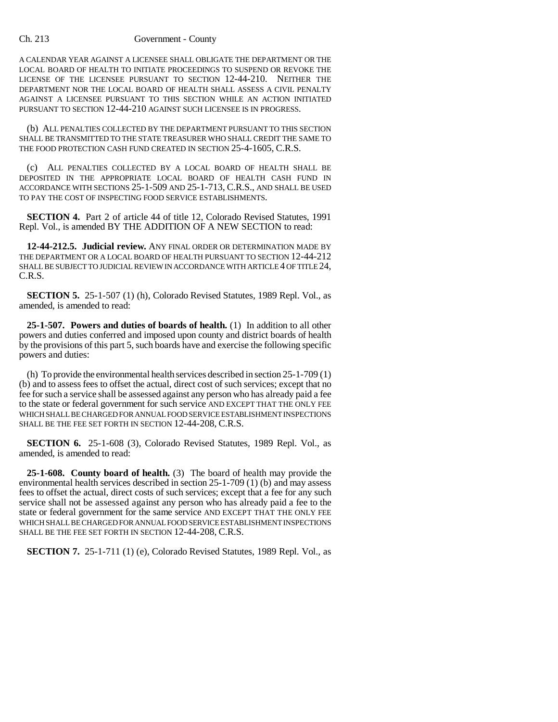## Ch. 213 Government - County

A CALENDAR YEAR AGAINST A LICENSEE SHALL OBLIGATE THE DEPARTMENT OR THE LOCAL BOARD OF HEALTH TO INITIATE PROCEEDINGS TO SUSPEND OR REVOKE THE LICENSE OF THE LICENSEE PURSUANT TO SECTION 12-44-210. NEITHER THE DEPARTMENT NOR THE LOCAL BOARD OF HEALTH SHALL ASSESS A CIVIL PENALTY AGAINST A LICENSEE PURSUANT TO THIS SECTION WHILE AN ACTION INITIATED PURSUANT TO SECTION 12-44-210 AGAINST SUCH LICENSEE IS IN PROGRESS.

(b) ALL PENALTIES COLLECTED BY THE DEPARTMENT PURSUANT TO THIS SECTION SHALL BE TRANSMITTED TO THE STATE TREASURER WHO SHALL CREDIT THE SAME TO THE FOOD PROTECTION CASH FUND CREATED IN SECTION 25-4-1605, C.R.S.

(c) ALL PENALTIES COLLECTED BY A LOCAL BOARD OF HEALTH SHALL BE DEPOSITED IN THE APPROPRIATE LOCAL BOARD OF HEALTH CASH FUND IN ACCORDANCE WITH SECTIONS 25-1-509 AND 25-1-713, C.R.S., AND SHALL BE USED TO PAY THE COST OF INSPECTING FOOD SERVICE ESTABLISHMENTS.

**SECTION 4.** Part 2 of article 44 of title 12, Colorado Revised Statutes, 1991 Repl. Vol., is amended BY THE ADDITION OF A NEW SECTION to read:

**12-44-212.5. Judicial review.** ANY FINAL ORDER OR DETERMINATION MADE BY THE DEPARTMENT OR A LOCAL BOARD OF HEALTH PURSUANT TO SECTION 12-44-212 SHALL BE SUBJECT TO JUDICIAL REVIEW IN ACCORDANCE WITH ARTICLE 4 OF TITLE 24, C.R.S.

**SECTION 5.** 25-1-507 (1) (h), Colorado Revised Statutes, 1989 Repl. Vol., as amended, is amended to read:

**25-1-507. Powers and duties of boards of health.** (1) In addition to all other powers and duties conferred and imposed upon county and district boards of health by the provisions of this part 5, such boards have and exercise the following specific powers and duties:

(h) To provide the environmental health services described in section 25-1-709 (1) (b) and to assess fees to offset the actual, direct cost of such services; except that no fee for such a service shall be assessed against any person who has already paid a fee to the state or federal government for such service AND EXCEPT THAT THE ONLY FEE WHICH SHALL BE CHARGED FOR ANNUAL FOOD SERVICE ESTABLISHMENT INSPECTIONS SHALL BE THE FEE SET FORTH IN SECTION 12-44-208, C.R.S.

**SECTION 6.** 25-1-608 (3), Colorado Revised Statutes, 1989 Repl. Vol., as amended, is amended to read:

**25-1-608. County board of health.** (3) The board of health may provide the environmental health services described in section 25-1-709 (1) (b) and may assess fees to offset the actual, direct costs of such services; except that a fee for any such service shall not be assessed against any person who has already paid a fee to the state or federal government for the same service AND EXCEPT THAT THE ONLY FEE WHICH SHALL BE CHARGED FOR ANNUAL FOOD SERVICE ESTABLISHMENT INSPECTIONS SHALL BE THE FEE SET FORTH IN SECTION 12-44-208, C.R.S.

**SECTION 7.** 25-1-711 (1) (e), Colorado Revised Statutes, 1989 Repl. Vol., as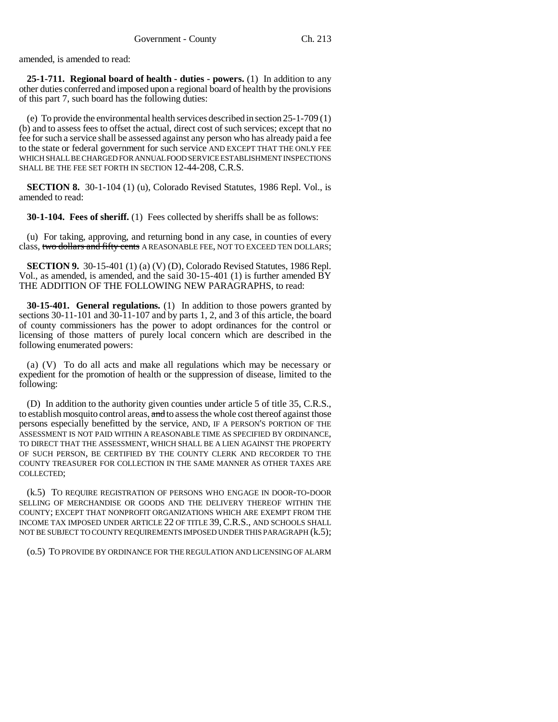amended, is amended to read:

**25-1-711. Regional board of health - duties - powers.** (1) In addition to any other duties conferred and imposed upon a regional board of health by the provisions of this part 7, such board has the following duties:

(e) To provide the environmental health services described in section 25-1-709 (1) (b) and to assess fees to offset the actual, direct cost of such services; except that no fee for such a service shall be assessed against any person who has already paid a fee to the state or federal government for such service AND EXCEPT THAT THE ONLY FEE WHICH SHALL BE CHARGED FOR ANNUAL FOOD SERVICE ESTABLISHMENT INSPECTIONS SHALL BE THE FEE SET FORTH IN SECTION 12-44-208, C.R.S.

**SECTION 8.** 30-1-104 (1) (u), Colorado Revised Statutes, 1986 Repl. Vol., is amended to read:

**30-1-104. Fees of sheriff.** (1) Fees collected by sheriffs shall be as follows:

(u) For taking, approving, and returning bond in any case, in counties of every class, two dollars and fifty cents A REASONABLE FEE, NOT TO EXCEED TEN DOLLARS;

**SECTION 9.** 30-15-401 (1) (a) (V) (D), Colorado Revised Statutes, 1986 Repl. Vol., as amended, is amended, and the said  $30-15-401$  (1) is further amended  $\overline{BY}$ THE ADDITION OF THE FOLLOWING NEW PARAGRAPHS, to read:

**30-15-401. General regulations.** (1) In addition to those powers granted by sections 30-11-101 and 30-11-107 and by parts 1, 2, and 3 of this article, the board of county commissioners has the power to adopt ordinances for the control or licensing of those matters of purely local concern which are described in the following enumerated powers:

(a) (V) To do all acts and make all regulations which may be necessary or expedient for the promotion of health or the suppression of disease, limited to the following:

(D) In addition to the authority given counties under article 5 of title 35, C.R.S., to establish mosquito control areas, and to assess the whole cost thereof against those persons especially benefitted by the service, AND, IF A PERSON'S PORTION OF THE ASSESSMENT IS NOT PAID WITHIN A REASONABLE TIME AS SPECIFIED BY ORDINANCE, TO DIRECT THAT THE ASSESSMENT, WHICH SHALL BE A LIEN AGAINST THE PROPERTY OF SUCH PERSON, BE CERTIFIED BY THE COUNTY CLERK AND RECORDER TO THE COUNTY TREASURER FOR COLLECTION IN THE SAME MANNER AS OTHER TAXES ARE COLLECTED;

(k.5) TO REQUIRE REGISTRATION OF PERSONS WHO ENGAGE IN DOOR-TO-DOOR SELLING OF MERCHANDISE OR GOODS AND THE DELIVERY THEREOF WITHIN THE COUNTY; EXCEPT THAT NONPROFIT ORGANIZATIONS WHICH ARE EXEMPT FROM THE INCOME TAX IMPOSED UNDER ARTICLE 22 OF TITLE 39, C.R.S., AND SCHOOLS SHALL NOT BE SUBJECT TO COUNTY REQUIREMENTS IMPOSED UNDER THIS PARAGRAPH (k.5);

(o.5) TO PROVIDE BY ORDINANCE FOR THE REGULATION AND LICENSING OF ALARM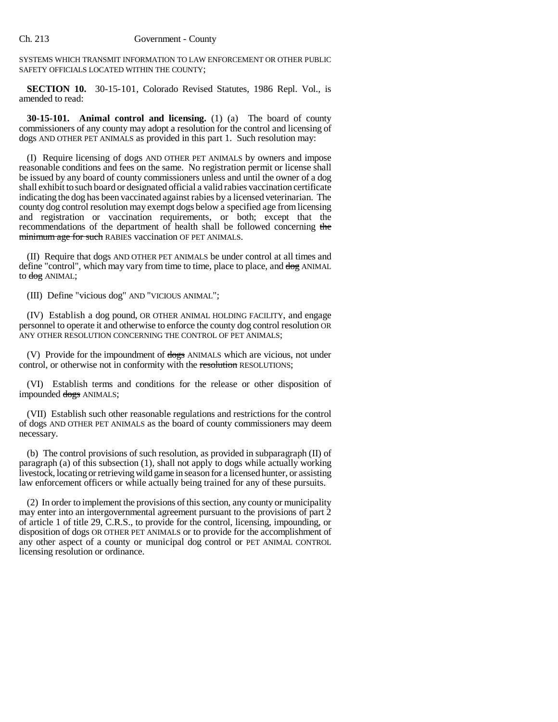SYSTEMS WHICH TRANSMIT INFORMATION TO LAW ENFORCEMENT OR OTHER PUBLIC SAFETY OFFICIALS LOCATED WITHIN THE COUNTY;

**SECTION 10.** 30-15-101, Colorado Revised Statutes, 1986 Repl. Vol., is amended to read:

**30-15-101. Animal control and licensing.** (1) (a) The board of county commissioners of any county may adopt a resolution for the control and licensing of dogs AND OTHER PET ANIMALS as provided in this part 1. Such resolution may:

(I) Require licensing of dogs AND OTHER PET ANIMALS by owners and impose reasonable conditions and fees on the same. No registration permit or license shall be issued by any board of county commissioners unless and until the owner of a dog shall exhibit to such board or designated official a valid rabies vaccination certificate indicating the dog has been vaccinated against rabies by a licensed veterinarian. The county dog control resolution may exempt dogs below a specified age from licensing and registration or vaccination requirements, or both; except that the recommendations of the department of health shall be followed concerning the minimum age for such RABIES vaccination OF PET ANIMALS.

(II) Require that dogs AND OTHER PET ANIMALS be under control at all times and define "control", which may vary from time to time, place to place, and  $\frac{d}{d\theta}$  ANIMAL to dog ANIMAL;

(III) Define "vicious dog" AND "VICIOUS ANIMAL";

(IV) Establish a dog pound, OR OTHER ANIMAL HOLDING FACILITY, and engage personnel to operate it and otherwise to enforce the county dog control resolution OR ANY OTHER RESOLUTION CONCERNING THE CONTROL OF PET ANIMALS;

(V) Provide for the impoundment of dogs ANIMALS which are vicious, not under control, or otherwise not in conformity with the resolution RESOLUTIONS;

(VI) Establish terms and conditions for the release or other disposition of impounded dogs ANIMALS;

(VII) Establish such other reasonable regulations and restrictions for the control of dogs AND OTHER PET ANIMALS as the board of county commissioners may deem necessary.

(b) The control provisions of such resolution, as provided in subparagraph (II) of paragraph (a) of this subsection (1), shall not apply to dogs while actually working livestock, locating or retrieving wild game in season for a licensed hunter, or assisting law enforcement officers or while actually being trained for any of these pursuits.

(2) In order to implement the provisions of this section, any county or municipality may enter into an intergovernmental agreement pursuant to the provisions of part 2 of article 1 of title 29, C.R.S., to provide for the control, licensing, impounding, or disposition of dogs OR OTHER PET ANIMALS or to provide for the accomplishment of any other aspect of a county or municipal dog control or PET ANIMAL CONTROL licensing resolution or ordinance.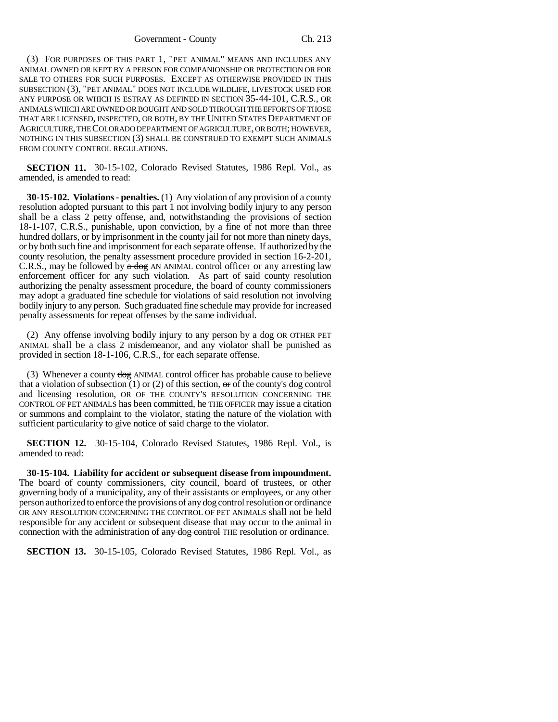Government - County Ch. 213

(3) FOR PURPOSES OF THIS PART 1, "PET ANIMAL" MEANS AND INCLUDES ANY ANIMAL OWNED OR KEPT BY A PERSON FOR COMPANIONSHIP OR PROTECTION OR FOR SALE TO OTHERS FOR SUCH PURPOSES. EXCEPT AS OTHERWISE PROVIDED IN THIS SUBSECTION (3), "PET ANIMAL" DOES NOT INCLUDE WILDLIFE, LIVESTOCK USED FOR ANY PURPOSE OR WHICH IS ESTRAY AS DEFINED IN SECTION 35-44-101, C.R.S., OR ANIMALS WHICH ARE OWNED OR BOUGHT AND SOLD THROUGH THE EFFORTS OF THOSE THAT ARE LICENSED, INSPECTED, OR BOTH, BY THE UNITED STATES DEPARTMENT OF AGRICULTURE, THE COLORADO DEPARTMENT OF AGRICULTURE, OR BOTH; HOWEVER, NOTHING IN THIS SUBSECTION (3) SHALL BE CONSTRUED TO EXEMPT SUCH ANIMALS FROM COUNTY CONTROL REGULATIONS.

**SECTION 11.** 30-15-102, Colorado Revised Statutes, 1986 Repl. Vol., as amended, is amended to read:

**30-15-102. Violations - penalties.** (1) Any violation of any provision of a county resolution adopted pursuant to this part 1 not involving bodily injury to any person shall be a class 2 petty offense, and, notwithstanding the provisions of section 18-1-107, C.R.S., punishable, upon conviction, by a fine of not more than three hundred dollars, or by imprisonment in the county jail for not more than ninety days, or by both such fine and imprisonment for each separate offense. If authorized by the county resolution, the penalty assessment procedure provided in section 16-2-201, C.R.S., may be followed by  $\alpha$  dog AN ANIMAL control officer or any arresting law enforcement officer for any such violation. As part of said county resolution authorizing the penalty assessment procedure, the board of county commissioners may adopt a graduated fine schedule for violations of said resolution not involving bodily injury to any person. Such graduated fine schedule may provide for increased penalty assessments for repeat offenses by the same individual.

(2) Any offense involving bodily injury to any person by a dog OR OTHER PET ANIMAL shall be a class 2 misdemeanor, and any violator shall be punished as provided in section 18-1-106, C.R.S., for each separate offense.

(3) Whenever a county dog ANIMAL control officer has probable cause to believe that a violation of subsection  $(1)$  or  $(2)$  of this section, or of the county's dog control and licensing resolution, OR OF THE COUNTY'S RESOLUTION CONCERNING THE CONTROL OF PET ANIMALS has been committed, he THE OFFICER may issue a citation or summons and complaint to the violator, stating the nature of the violation with sufficient particularity to give notice of said charge to the violator.

**SECTION 12.** 30-15-104, Colorado Revised Statutes, 1986 Repl. Vol., is amended to read:

**30-15-104. Liability for accident or subsequent disease from impoundment.** The board of county commissioners, city council, board of trustees, or other governing body of a municipality, any of their assistants or employees, or any other person authorized to enforce the provisions of any dog control resolution or ordinance OR ANY RESOLUTION CONCERNING THE CONTROL OF PET ANIMALS shall not be held responsible for any accident or subsequent disease that may occur to the animal in connection with the administration of any dog control THE resolution or ordinance.

**SECTION 13.** 30-15-105, Colorado Revised Statutes, 1986 Repl. Vol., as